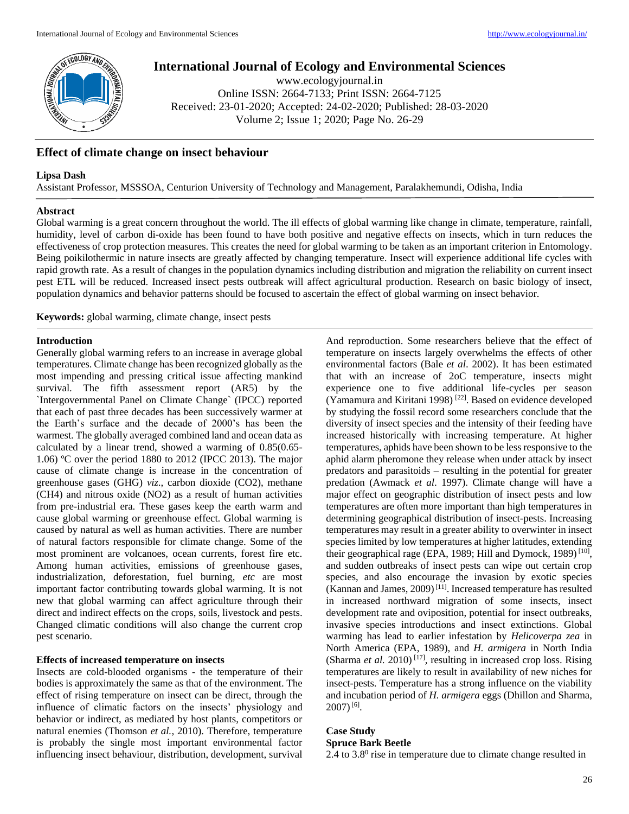

# **International Journal of Ecology and Environmental Sciences**

www.ecologyjournal.in Online ISSN: 2664-7133; Print ISSN: 2664-7125 Received: 23-01-2020; Accepted: 24-02-2020; Published: 28-03-2020 Volume 2; Issue 1; 2020; Page No. 26-29

# **Effect of climate change on insect behaviour**

### **Lipsa Dash**

Assistant Professor, MSSSOA, Centurion University of Technology and Management, Paralakhemundi, Odisha, India

#### **Abstract**

Global warming is a great concern throughout the world. The ill effects of global warming like change in climate, temperature, rainfall, humidity, level of carbon di-oxide has been found to have both positive and negative effects on insects, which in turn reduces the effectiveness of crop protection measures. This creates the need for global warming to be taken as an important criterion in Entomology. Being poikilothermic in nature insects are greatly affected by changing temperature. Insect will experience additional life cycles with rapid growth rate. As a result of changes in the population dynamics including distribution and migration the reliability on current insect pest ETL will be reduced. Increased insect pests outbreak will affect agricultural production. Research on basic biology of insect, population dynamics and behavior patterns should be focused to ascertain the effect of global warming on insect behavior.

**Keywords:** global warming, climate change, insect pests

#### **Introduction**

Generally global warming refers to an increase in average global temperatures. Climate change has been recognized globally as the most impending and pressing critical issue affecting mankind survival. The fifth assessment report (AR5) by the `Intergovernmental Panel on Climate Change` (IPCC) reported that each of past three decades has been successively warmer at the Earth's surface and the decade of 2000's has been the warmest. The globally averaged combined land and ocean data as calculated by a linear trend, showed a warming of 0.85(0.65- 1.06) ºC over the period 1880 to 2012 (IPCC 2013). The major cause of climate change is increase in the concentration of greenhouse gases (GHG) *viz*., carbon dioxide (CO2), methane (CH4) and nitrous oxide (NO2) as a result of human activities from pre-industrial era. These gases keep the earth warm and cause global warming or greenhouse effect. Global warming is caused by natural as well as human activities. There are number of natural factors responsible for climate change. Some of the most prominent are volcanoes, ocean currents, forest fire etc. Among human activities, emissions of greenhouse gases, industrialization, deforestation, fuel burning, *etc* are most important factor contributing towards global warming. It is not new that global warming can affect agriculture through their direct and indirect effects on the crops, soils, livestock and pests. Changed climatic conditions will also change the current crop pest scenario.

# **Effects of increased temperature on insects**

Insects are cold-blooded organisms - the temperature of their bodies is approximately the same as that of the environment. The effect of rising temperature on insect can be direct, through the influence of climatic factors on the insects' physiology and behavior or indirect, as mediated by host plants, competitors or natural enemies (Thomson *et al.,* 2010). Therefore, temperature is probably the single most important environmental factor influencing insect behaviour, distribution, development, survival And reproduction. Some researchers believe that the effect of temperature on insects largely overwhelms the effects of other environmental factors (Bale *et al*. 2002). It has been estimated that with an increase of 2oC temperature, insects might experience one to five additional life-cycles per season (Yamamura and Kiritani 1998) [22]. Based on evidence developed by studying the fossil record some researchers conclude that the diversity of insect species and the intensity of their feeding have increased historically with increasing temperature. At higher temperatures, aphids have been shown to be less responsive to the aphid alarm pheromone they release when under attack by insect predators and parasitoids – resulting in the potential for greater predation (Awmack *et al*. 1997). Climate change will have a major effect on geographic distribution of insect pests and low temperatures are often more important than high temperatures in determining geographical distribution of insect-pests. Increasing temperatures may result in a greater ability to overwinter in insect species limited by low temperatures at higher latitudes, extending their geographical rage (EPA, 1989; Hill and Dymock, 1989)<sup>[10]</sup>, and sudden outbreaks of insect pests can wipe out certain crop species, and also encourage the invasion by exotic species (Kannan and James, 2009)<sup>[11]</sup>. Increased temperature has resulted in increased northward migration of some insects, insect development rate and oviposition, potential for insect outbreaks, invasive species introductions and insect extinctions. Global warming has lead to earlier infestation by *Helicoverpa zea* in North America (EPA, 1989), and *H. armigera* in North India (Sharma *et al.* 2010) [17], resulting in increased crop loss. Rising temperatures are likely to result in availability of new niches for insect-pests. Temperature has a strong influence on the viability and incubation period of *H. armigera* eggs (Dhillon and Sharma,  $2007$ <sup>[6]</sup>.

# **Case Study**

## **Spruce Bark Beetle**

2.4 to  $3.8^{\circ}$  rise in temperature due to climate change resulted in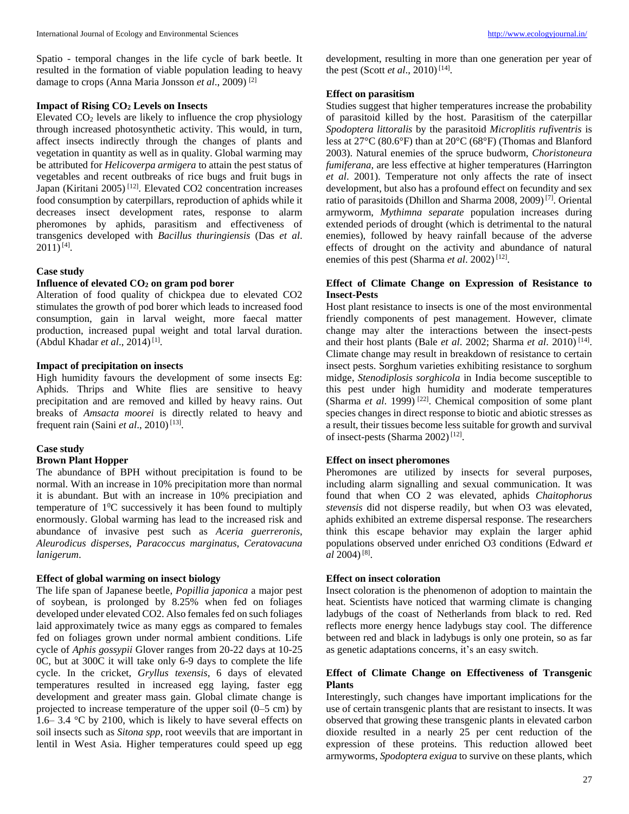#### **Impact of Rising CO<sup>2</sup> Levels on Insects**

Elevated  $CO<sub>2</sub>$  levels are likely to influence the crop physiology through increased photosynthetic activity. This would, in turn, affect insects indirectly through the changes of plants and vegetation in quantity as well as in quality. Global warming may be attributed for *Helicoverpa armigera* to attain the pest status of vegetables and recent outbreaks of rice bugs and fruit bugs in Japan (Kiritani 2005) [12]. Elevated CO2 concentration increases food consumption by caterpillars, reproduction of aphids while it decreases insect development rates, response to alarm pheromones by aphids, parasitism and effectiveness of transgenics developed with *Bacillus thuringiensis* (Das *et al*.  $2011$ )<sup>[4]</sup>.

# **Case study**

# **Influence of elevated CO<sup>2</sup> on gram pod borer**

Alteration of food quality of chickpea due to elevated CO2 stimulates the growth of pod borer which leads to increased food consumption, gain in larval weight, more faecal matter production, increased pupal weight and total larval duration. (Abdul Khadar *et al.*, 2014)<sup>[1]</sup>.

#### **Impact of precipitation on insects**

High humidity favours the development of some insects Eg: Aphids. Thrips and White flies are sensitive to heavy precipitation and are removed and killed by heavy rains. Out breaks of *Amsacta moorei* is directly related to heavy and frequent rain (Saini *et al.*, 2010)<sup>[13]</sup>.

#### **Case study**

#### **Brown Plant Hopper**

The abundance of BPH without precipitation is found to be normal. With an increase in 10% precipitation more than normal it is abundant. But with an increase in 10% precipiation and temperature of  $1^0C$  successively it has been found to multiply enormously. Global warming has lead to the increased risk and abundance of invasive pest such as *Aceria guerreronis*, *Aleurodicus disperses*, *Paracoccus marginatus*, *Ceratovacuna lanigerum*.

### **Effect of global warming on insect biology**

The life span of Japanese beetle, *Popillia japonica* a major pest of soybean, is prolonged by 8.25% when fed on foliages developed under elevated CO2. Also females fed on such foliages laid approximately twice as many eggs as compared to females fed on foliages grown under normal ambient conditions. Life cycle of *Aphis gossypii* Glover ranges from 20-22 days at 10-25 0C, but at 300C it will take only 6-9 days to complete the life cycle. In the cricket, *Gryllus texensis*, 6 days of elevated temperatures resulted in increased egg laying, faster egg development and greater mass gain. Global climate change is projected to increase temperature of the upper soil (0–5 cm) by 1.6– 3.4 °C by 2100, which is likely to have several effects on soil insects such as *Sitona spp*, root weevils that are important in lentil in West Asia. Higher temperatures could speed up egg

development, resulting in more than one generation per year of the pest (Scott *et al.*, 2010)<sup>[14]</sup>.

#### **Effect on parasitism**

Studies suggest that higher temperatures increase the probability of parasitoid killed by the host. Parasitism of the caterpillar *Spodoptera littoralis* by the parasitoid *Microplitis rufiventris* is less at 27°C (80.6°F) than at 20°C (68°F) (Thomas and Blanford 2003). Natural enemies of the spruce budworm, *Choristoneura fumiferana,* are less effective at higher temperatures (Harrington *et al*. 2001). Temperature not only affects the rate of insect development, but also has a profound effect on fecundity and sex ratio of parasitoids (Dhillon and Sharma 2008, 2009)<sup>[7]</sup>. Oriental armyworm, *Mythimna separate* population increases during extended periods of drought (which is detrimental to the natural enemies), followed by heavy rainfall because of the adverse effects of drought on the activity and abundance of natural enemies of this pest (Sharma et al. 2002)<sup>[12]</sup>.

## **Effect of Climate Change on Expression of Resistance to Insect-Pests**

Host plant resistance to insects is one of the most environmental friendly components of pest management. However, climate change may alter the interactions between the insect-pests and their host plants (Bale *et al*. 2002; Sharma *et al*. 2010) [14] . Climate change may result in breakdown of resistance to certain insect pests. Sorghum varieties exhibiting resistance to sorghum midge, *Stenodiplosis sorghicola* in India become susceptible to this pest under high humidity and moderate temperatures (Sharma *et al*. 1999) [22]. Chemical composition of some plant species changes in direct response to biotic and abiotic stresses as a result, their tissues become less suitable for growth and survival of insect-pests (Sharma 2002)<sup>[12]</sup>.

### **Effect on insect pheromones**

Pheromones are utilized by insects for several purposes, including alarm signalling and sexual communication. It was found that when CO 2 was elevated, aphids *Chaitophorus stevensis* did not disperse readily, but when O3 was elevated, aphids exhibited an extreme dispersal response. The researchers think this escape behavior may explain the larger aphid populations observed under enriched O3 conditions (Edward *et al* 2004)<sup>[8]</sup>.

#### **Effect on insect coloration**

Insect coloration is the phenomenon of adoption to maintain the heat. Scientists have noticed that warming climate is changing ladybugs of the coast of Netherlands from black to red. Red reflects more energy hence ladybugs stay cool. The difference between red and black in ladybugs is only one protein, so as far as genetic adaptations concerns, it's an easy switch.

## **Effect of Climate Change on Effectiveness of Transgenic Plants**

Interestingly, such changes have important implications for the use of certain transgenic plants that are resistant to insects. It was observed that growing these transgenic plants in elevated carbon dioxide resulted in a nearly 25 per cent reduction of the expression of these proteins. This reduction allowed beet armyworms, *Spodoptera exigua* to survive on these plants, which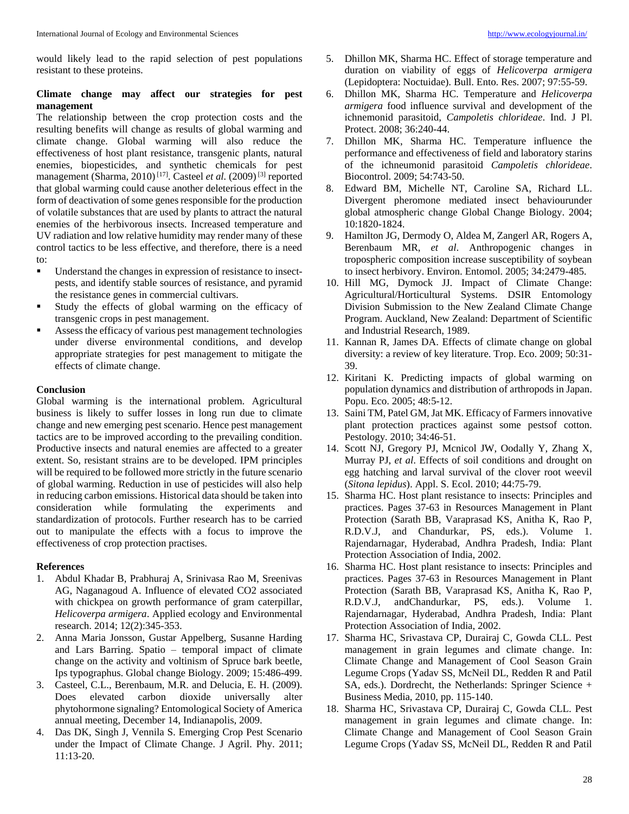would likely lead to the rapid selection of pest populations resistant to these proteins.

# **Climate change may affect our strategies for pest management**

The relationship between the crop protection costs and the resulting benefits will change as results of global warming and climate change. Global warming will also reduce the effectiveness of host plant resistance, transgenic plants, natural enemies, biopesticides, and synthetic chemicals for pest management (Sharma, 2010)<sup>[17]</sup>. Casteel *et al.* (2009)<sup>[3]</sup> reported that global warming could cause another deleterious effect in the form of deactivation of some genes responsible for the production of volatile substances that are used by plants to attract the natural enemies of the herbivorous insects. Increased temperature and UV radiation and low relative humidity may render many of these control tactics to be less effective, and therefore, there is a need to:

- Understand the changes in expression of resistance to insectpests, and identify stable sources of resistance, and pyramid the resistance genes in commercial cultivars.
- Study the effects of global warming on the efficacy of transgenic crops in pest management.
- Assess the efficacy of various pest management technologies under diverse environmental conditions, and develop appropriate strategies for pest management to mitigate the effects of climate change.

### **Conclusion**

Global warming is the international problem. Agricultural business is likely to suffer losses in long run due to climate change and new emerging pest scenario. Hence pest management tactics are to be improved according to the prevailing condition. Productive insects and natural enemies are affected to a greater extent. So, resistant strains are to be developed. IPM principles will be required to be followed more strictly in the future scenario of global warming. Reduction in use of pesticides will also help in reducing carbon emissions. Historical data should be taken into consideration while formulating the experiments and standardization of protocols. Further research has to be carried out to manipulate the effects with a focus to improve the effectiveness of crop protection practises.

#### **References**

- 1. Abdul Khadar B, Prabhuraj A, Srinivasa Rao M, Sreenivas AG, Naganagoud A. Influence of elevated CO2 associated with chickpea on growth performance of gram caterpillar, *Helicoverpa armigera*. Applied ecology and Environmental research. 2014; 12(2):345-353.
- 2. Anna Maria Jonsson, Gustar Appelberg, Susanne Harding and Lars Barring. Spatio – temporal impact of climate change on the activity and voltinism of Spruce bark beetle, Ips typographus. Global change Biology. 2009; 15:486-499.
- 3. Casteel, C.L., Berenbaum, M.R. and Delucia, E. H. (2009). Does elevated carbon dioxide universally alter phytohormone signaling? Entomological Society of America annual meeting, December 14, Indianapolis, 2009.
- 4. Das DK, Singh J, Vennila S. Emerging Crop Pest Scenario under the Impact of Climate Change. J Agril. Phy. 2011; 11:13-20.
- 5. Dhillon MK, Sharma HC. Effect of storage temperature and duration on viability of eggs of *Helicoverpa armigera*  (Lepidoptera: Noctuidae). Bull. Ento. Res. 2007; 97:55-59.
- 6. Dhillon MK, Sharma HC. Temperature and *Helicoverpa armigera* food influence survival and development of the ichnemonid parasitoid, *Campoletis chlorideae*. Ind. J Pl. Protect. 2008; 36:240-44.
- 7. Dhillon MK, Sharma HC. Temperature influence the performance and effectiveness of field and laboratory starins of the ichneumonid parasitoid *Campoletis chlorideae*. Biocontrol. 2009; 54:743-50.
- 8. Edward BM, Michelle NT, Caroline SA, Richard LL. Divergent pheromone mediated insect behaviourunder global atmospheric change Global Change Biology. 2004; 10:1820-1824.
- 9. Hamilton JG, Dermody O, Aldea M, Zangerl AR, Rogers A, Berenbaum MR, *et al*. Anthropogenic changes in tropospheric composition increase susceptibility of soybean to insect herbivory. Environ. Entomol. 2005; 34:2479-485.
- 10. Hill MG, Dymock JJ. Impact of Climate Change: Agricultural/Horticultural Systems. DSIR Entomology Division Submission to the New Zealand Climate Change Program. Auckland, New Zealand: Department of Scientific and Industrial Research, 1989.
- 11. Kannan R, James DA. Effects of climate change on global diversity: a review of key literature. Trop. Eco. 2009; 50:31- 39.
- 12. Kiritani K. Predicting impacts of global warming on population dynamics and distribution of arthropods in Japan. Popu. Eco. 2005; 48:5-12.
- 13. Saini TM, Patel GM, Jat MK. Efficacy of Farmers innovative plant protection practices against some pestsof cotton. Pestology*.* 2010; 34:46-51.
- 14. Scott NJ, Gregory PJ, Mcnicol JW, Oodally Y, Zhang X, Murray PJ, *et al*. Effects of soil conditions and drought on egg hatching and larval survival of the clover root weevil (*Sitona lepidus*). Appl. S. Ecol. 2010; 44:75-79.
- 15. Sharma HC. Host plant resistance to insects: Principles and practices. Pages 37-63 in Resources Management in Plant Protection (Sarath BB, Varaprasad KS, Anitha K, Rao P, R.D.V.J, and Chandurkar, PS, eds.). Volume 1. Rajendarnagar, Hyderabad, Andhra Pradesh, India: Plant Protection Association of India, 2002.
- 16. Sharma HC. Host plant resistance to insects: Principles and practices. Pages 37-63 in Resources Management in Plant Protection (Sarath BB, Varaprasad KS, Anitha K, Rao P, R.D.V.J, andChandurkar, PS, eds.). Volume 1. Rajendarnagar, Hyderabad, Andhra Pradesh, India: Plant Protection Association of India, 2002.
- 17. Sharma HC, Srivastava CP, Durairaj C, Gowda CLL. Pest management in grain legumes and climate change. In: Climate Change and Management of Cool Season Grain Legume Crops (Yadav SS, McNeil DL, Redden R and Patil SA, eds.). Dordrecht, the Netherlands: Springer Science + Business Media, 2010, pp. 115-140.
- 18. Sharma HC, Srivastava CP, Durairaj C, Gowda CLL. Pest management in grain legumes and climate change. In: Climate Change and Management of Cool Season Grain Legume Crops (Yadav SS, McNeil DL, Redden R and Patil